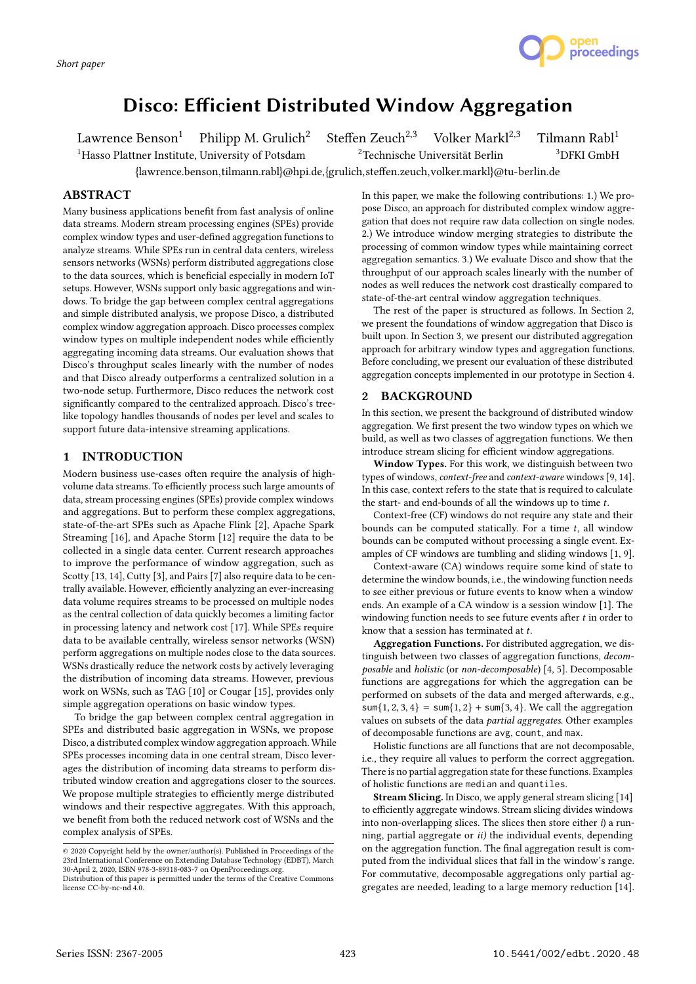

# Disco: Efficient Distributed Window Aggregation

Lawrence Benson<sup>1</sup> Philipp M. Grulich<sup>2</sup> Steffen Zeuch<sup>2,3</sup> Volker Markl<sup>2,3</sup> Tilmann Rabl<sup>1</sup><br><sup>1</sup>Hasso Plattner Institute. University of Potsdam <sup>2</sup>Technische Universität Berlin <sup>3</sup>DFKI GmbH <sup>1</sup>Hasso Plattner Institute, University of Potsdam

{lawrence.benson,tilmann.rabl}@hpi.de,{grulich,steffen.zeuch,volker.markl}@tu-berlin.de

## ABSTRACT

Many business applications benefit from fast analysis of online data streams. Modern stream processing engines (SPEs) provide complex window types and user-defined aggregation functions to analyze streams. While SPEs run in central data centers, wireless sensors networks (WSNs) perform distributed aggregations close to the data sources, which is beneficial especially in modern IoT setups. However, WSNs support only basic aggregations and windows. To bridge the gap between complex central aggregations and simple distributed analysis, we propose Disco, a distributed complex window aggregation approach. Disco processes complex window types on multiple independent nodes while efficiently aggregating incoming data streams. Our evaluation shows that Disco's throughput scales linearly with the number of nodes and that Disco already outperforms a centralized solution in a two-node setup. Furthermore, Disco reduces the network cost significantly compared to the centralized approach. Disco's treelike topology handles thousands of nodes per level and scales to support future data-intensive streaming applications.

## 1 INTRODUCTION

Modern business use-cases often require the analysis of highvolume data streams. To efficiently process such large amounts of data, stream processing engines (SPEs) provide complex windows and aggregations. But to perform these complex aggregations, state-of-the-art SPEs such as Apache Flink [2], Apache Spark Streaming [16], and Apache Storm [12] require the data to be collected in a single data center. Current research approaches to improve the performance of window aggregation, such as Scotty [13, 14], Cutty [3], and Pairs [7] also require data to be centrally available. However, efficiently analyzing an ever-increasing data volume requires streams to be processed on multiple nodes as the central collection of data quickly becomes a limiting factor in processing latency and network cost [17]. While SPEs require data to be available centrally, wireless sensor networks (WSN) perform aggregations on multiple nodes close to the data sources. WSNs drastically reduce the network costs by actively leveraging the distribution of incoming data streams. However, previous work on WSNs, such as TAG [10] or Cougar [15], provides only simple aggregation operations on basic window types.

To bridge the gap between complex central aggregation in SPEs and distributed basic aggregation in WSNs, we propose Disco, a distributed complex window aggregation approach. While SPEs processes incoming data in one central stream, Disco leverages the distribution of incoming data streams to perform distributed window creation and aggregations closer to the sources. We propose multiple strategies to efficiently merge distributed windows and their respective aggregates. With this approach, we benefit from both the reduced network cost of WSNs and the complex analysis of SPEs.

In this paper, we make the following contributions: 1.) We propose Disco, an approach for distributed complex window aggregation that does not require raw data collection on single nodes. 2.) We introduce window merging strategies to distribute the processing of common window types while maintaining correct aggregation semantics. 3.) We evaluate Disco and show that the throughput of our approach scales linearly with the number of nodes as well reduces the network cost drastically compared to state-of-the-art central window aggregation techniques.

The rest of the paper is structured as follows. In Section 2, we present the foundations of window aggregation that Disco is built upon. In Section 3, we present our distributed aggregation approach for arbitrary window types and aggregation functions. Before concluding, we present our evaluation of these distributed aggregation concepts implemented in our prototype in Section 4.

## **BACKGROUND**

In this section, we present the background of distributed window aggregation. We first present the two window types on which we build, as well as two classes of aggregation functions. We then introduce stream slicing for efficient window aggregations.

Window Types. For this work, we distinguish between two types of windows, context-free and context-aware windows [9, 14]. In this case, context refers to the state that is required to calculate the start- and end-bounds of all the windows up to time t.

Context-free (CF) windows do not require any state and their bounds can be computed statically. For a time  $t$ , all window bounds can be computed without processing a single event. Examples of CF windows are tumbling and sliding windows [1, 9].

Context-aware (CA) windows require some kind of state to determine the window bounds, i.e., the windowing function needs to see either previous or future events to know when a window ends. An example of a CA window is a session window [1]. The windowing function needs to see future events after  $t$  in order to know that a session has terminated at t.

Aggregation Functions. For distributed aggregation, we distinguish between two classes of aggregation functions, decomposable and holistic (or non-decomposable) [4, 5]. Decomposable functions are aggregations for which the aggregation can be performed on subsets of the data and merged afterwards, e.g., sum $\{1, 2, 3, 4\}$  = sum $\{1, 2\}$  + sum $\{3, 4\}$ . We call the aggregation values on subsets of the data partial aggregates. Other examples of decomposable functions are avg, count, and max.

Holistic functions are all functions that are not decomposable, i.e., they require all values to perform the correct aggregation. There is no partial aggregation state for these functions. Examples of holistic functions are median and quantiles.

Stream Slicing. In Disco, we apply general stream slicing [14] to efficiently aggregate windows. Stream slicing divides windows into non-overlapping slices. The slices then store either i) a running, partial aggregate or ii) the individual events, depending on the aggregation function. The final aggregation result is computed from the individual slices that fall in the window's range. For commutative, decomposable aggregations only partial aggregates are needed, leading to a large memory reduction [14].

<sup>©</sup> 2020 Copyright held by the owner/author(s). Published in Proceedings of the 23rd International Conference on Extending Database Technology (EDBT), March 30-April 2, 2020, ISBN 978-3-89318-083-7 on OpenProceedings.org.

Distribution of this paper is permitted under the terms of the Creative Commons license CC-by-nc-nd 4.0.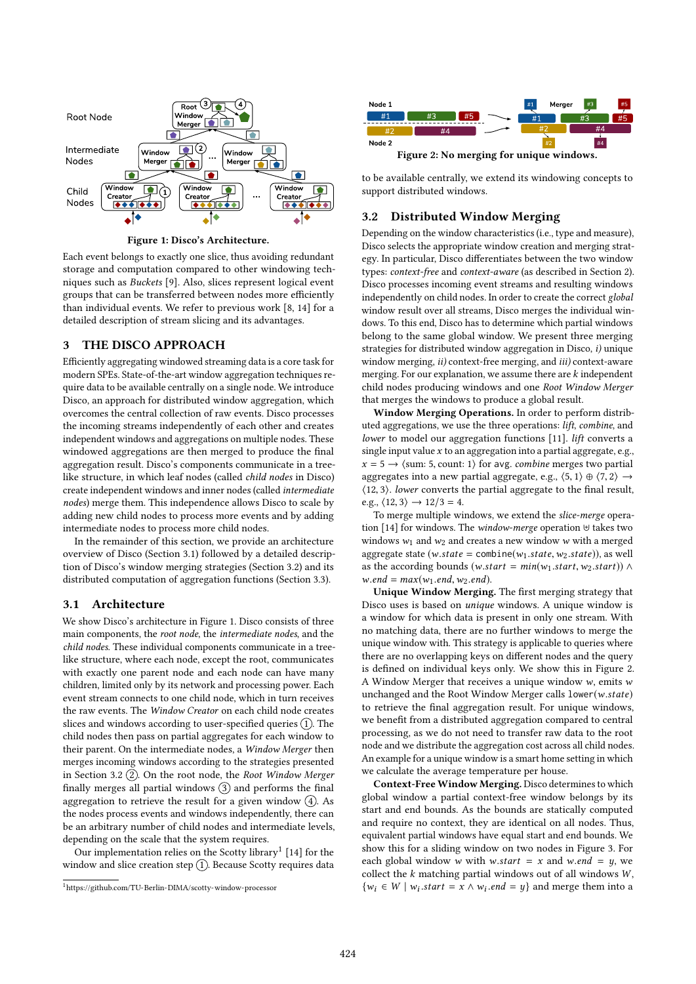

Figure 1: Disco's Architecture.

Each event belongs to exactly one slice, thus avoiding redundant storage and computation compared to other windowing techniques such as Buckets [9]. Also, slices represent logical event groups that can be transferred between nodes more efficiently than individual events. We refer to previous work [8, 14] for a detailed description of stream slicing and its advantages.

## 3 THE DISCO APPROACH

Efficiently aggregating windowed streaming data is a core task for modern SPEs. State-of-the-art window aggregation techniques require data to be available centrally on a single node. We introduce Disco, an approach for distributed window aggregation, which overcomes the central collection of raw events. Disco processes the incoming streams independently of each other and creates independent windows and aggregations on multiple nodes. These windowed aggregations are then merged to produce the final aggregation result. Disco's components communicate in a treelike structure, in which leaf nodes (called child nodes in Disco) create independent windows and inner nodes (called intermediate nodes) merge them. This independence allows Disco to scale by adding new child nodes to process more events and by adding intermediate nodes to process more child nodes.

In the remainder of this section, we provide an architecture overview of Disco (Section 3.1) followed by a detailed description of Disco's window merging strategies (Section 3.2) and its distributed computation of aggregation functions (Section 3.3).

#### 3.1 Architecture

We show Disco's architecture in Figure 1. Disco consists of three main components, the root node, the intermediate nodes, and the child nodes. These individual components communicate in a treelike structure, where each node, except the root, communicates with exactly one parent node and each node can have many children, limited only by its network and processing power. Each event stream connects to one child node, which in turn receives the raw events. The Window Creator on each child node creates slices and windows according to user-specified queries  $(1)$ . The child nodes then pass on partial aggregates for each window to their parent. On the intermediate nodes, a Window Merger then merges incoming windows according to the strategies presented in Section 3.2  $(2)$ . On the root node, the Root Window Merger finally merges all partial windows  $(3)$  and performs the final aggregation to retrieve the result for a given window  $\left( \widehat{4} \right)$ . As the nodes process events and windows independently, there can be an arbitrary number of child nodes and intermediate levels, depending on the scale that the system requires.

Our implementation relies on the Scotty library<sup>1</sup> [14] for the window and slice creation step  $(1)$ . Because Scotty requires data



to be available centrally, we extend its windowing concepts to

support distributed windows.

## 3.2 Distributed Window Merging

Depending on the window characteristics (i.e., type and measure), Disco selects the appropriate window creation and merging strategy. In particular, Disco differentiates between the two window types: context-free and context-aware (as described in Section 2). Disco processes incoming event streams and resulting windows independently on child nodes. In order to create the correct global window result over all streams, Disco merges the individual windows. To this end, Disco has to determine which partial windows belong to the same global window. We present three merging strategies for distributed window aggregation in Disco, i) unique window merging, *ii*) context-free merging, and *iii*) context-aware merging. For our explanation, we assume there are  $k$  independent child nodes producing windows and one Root Window Merger that merges the windows to produce a global result.

Window Merging Operations. In order to perform distributed aggregations, we use the three operations: lift, combine, and lower to model our aggregation functions [11]. lift converts a single input value  $x$  to an aggregation into a partial aggregate, e.g.,  $x = 5 \rightarrow \langle$ sum: 5, count: 1 $\rangle$  for avg. *combine* merges two partial aggregates into a new partial aggregate, e.g.,  $\langle 5, 1 \rangle \oplus \langle 7, 2 \rangle \rightarrow$ ⟨12, <sup>3</sup>⟩. lower converts the partial aggregate to the final result, e.g.,  $\langle 12, 3 \rangle \rightarrow 12/3 = 4$ .

To merge multiple windows, we extend the slice-merge operation [14] for windows. The window-merge operation ⊎ takes two windows  $w_1$  and  $w_2$  and creates a new window w with a merged aggregate state (w.state = combine( $w_1$ .state,  $w_2$ .state)), as well as the according bounds (w.start =  $min(w_1.start, w_2.start))$   $\wedge$  $w.end = max(w_1.end, w_2.end).$ 

Unique Window Merging. The first merging strategy that Disco uses is based on unique windows. A unique window is a window for which data is present in only one stream. With no matching data, there are no further windows to merge the unique window with. This strategy is applicable to queries where there are no overlapping keys on different nodes and the query is defined on individual keys only. We show this in Figure 2. A Window Merger that receives a unique window  $w$ , emits  $w$ unchanged and the Root Window Merger calls lower(w.state) to retrieve the final aggregation result. For unique windows, we benefit from a distributed aggregation compared to central processing, as we do not need to transfer raw data to the root node and we distribute the aggregation cost across all child nodes. An example for a unique window is a smart home setting in which we calculate the average temperature per house.

Context-Free Window Merging. Disco determines to which global window a partial context-free window belongs by its start and end bounds. As the bounds are statically computed and require no context, they are identical on all nodes. Thus, equivalent partial windows have equal start and end bounds. We show this for a sliding window on two nodes in Figure 3. For each global window w with w.start = x and w.end = y, we collect the  $k$  matching partial windows out of all windows  $W$ ,  $\{w_i \in W \mid w_i.start = x \land w_i.end = y\}$  and merge them into a

<sup>1</sup>https://github.com/TU-Berlin-DIMA/scotty-window-processor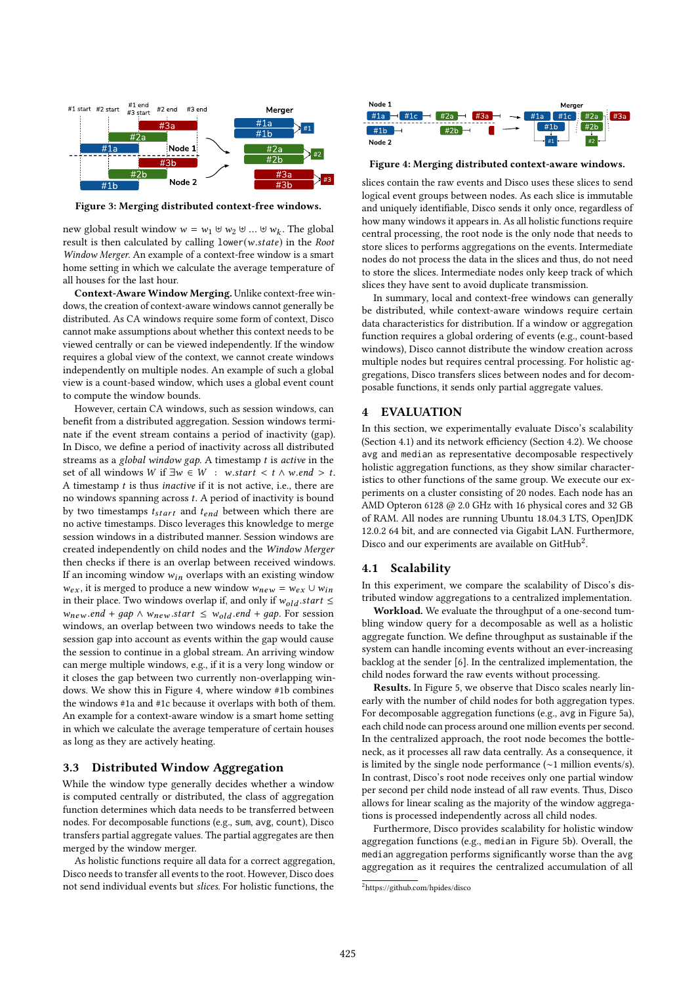

Figure 3: Merging distributed context-free windows.

new global result window  $w = w_1 \uplus w_2 \uplus ... \uplus w_k$ . The global result is then calculated by calling lower(w state) in the Root result is then calculated by calling lower(w.state) in the Root Window Merger. An example of a context-free window is a smart home setting in which we calculate the average temperature of all houses for the last hour.

Context-Aware Window Merging. Unlike context-free windows, the creation of context-aware windows cannot generally be distributed. As CA windows require some form of context, Disco cannot make assumptions about whether this context needs to be viewed centrally or can be viewed independently. If the window requires a global view of the context, we cannot create windows independently on multiple nodes. An example of such a global view is a count-based window, which uses a global event count to compute the window bounds.

However, certain CA windows, such as session windows, can benefit from a distributed aggregation. Session windows terminate if the event stream contains a period of inactivity (gap). In Disco, we define a period of inactivity across all distributed streams as a global window gap. A timestamp  $t$  is active in the set of all windows W if  $\exists w \in W : w.start \leq t \land w.end > t$ . A timestamp  $t$  is thus *inactive* if it is not active, i.e., there are no windows spanning across t. A period of inactivity is bound by two timestamps  $t_{start}$  and  $t_{end}$  between which there are no active timestamps. Disco leverages this knowledge to merge session windows in a distributed manner. Session windows are created independently on child nodes and the Window Merger then checks if there is an overlap between received windows. If an incoming window  $w_{in}$  overlaps with an existing window  $w_{ex}$ , it is merged to produce a new window  $w_{new} = w_{ex} \cup w_{in}$ in their place. Two windows overlap if, and only if  $w_{old}.start \leq$  $w_{new}.end + gap \wedge w_{new}.start \leq w_{old}.end + gap. For session$ windows, an overlap between two windows needs to take the session gap into account as events within the gap would cause the session to continue in a global stream. An arriving window can merge multiple windows, e.g., if it is a very long window or it closes the gap between two currently non-overlapping windows. We show this in Figure 4, where window #1b combines the windows #1a and #1c because it overlaps with both of them. An example for a context-aware window is a smart home setting in which we calculate the average temperature of certain houses as long as they are actively heating.

#### 3.3 Distributed Window Aggregation

While the window type generally decides whether a window is computed centrally or distributed, the class of aggregation function determines which data needs to be transferred between nodes. For decomposable functions (e.g., sum, avg, count), Disco transfers partial aggregate values. The partial aggregates are then merged by the window merger.

As holistic functions require all data for a correct aggregation, Disco needs to transfer all events to the root. However, Disco does not send individual events but slices. For holistic functions, the



Figure 4: Merging distributed context-aware windows.

slices contain the raw events and Disco uses these slices to send logical event groups between nodes. As each slice is immutable and uniquely identifiable, Disco sends it only once, regardless of how many windows it appears in. As all holistic functions require central processing, the root node is the only node that needs to store slices to performs aggregations on the events. Intermediate nodes do not process the data in the slices and thus, do not need to store the slices. Intermediate nodes only keep track of which slices they have sent to avoid duplicate transmission.

In summary, local and context-free windows can generally be distributed, while context-aware windows require certain data characteristics for distribution. If a window or aggregation function requires a global ordering of events (e.g., count-based windows), Disco cannot distribute the window creation across multiple nodes but requires central processing. For holistic aggregations, Disco transfers slices between nodes and for decomposable functions, it sends only partial aggregate values.

#### 4 EVALUATION

In this section, we experimentally evaluate Disco's scalability (Section 4.1) and its network efficiency (Section 4.2). We choose avg and median as representative decomposable respectively holistic aggregation functions, as they show similar characteristics to other functions of the same group. We execute our experiments on a cluster consisting of 20 nodes. Each node has an AMD Opteron 6128 @ 2.0 GHz with 16 physical cores and 32 GB of RAM. All nodes are running Ubuntu 18.04.3 LTS, OpenJDK 12.0.2 64 bit, and are connected via Gigabit LAN. Furthermore, Disco and our experiments are available on GitHub<sup>2</sup>.

#### 4.1 Scalability

In this experiment, we compare the scalability of Disco's distributed window aggregations to a centralized implementation.

Workload. We evaluate the throughput of a one-second tumbling window query for a decomposable as well as a holistic aggregate function. We define throughput as sustainable if the system can handle incoming events without an ever-increasing backlog at the sender [6]. In the centralized implementation, the child nodes forward the raw events without processing.

Results. In Figure 5, we observe that Disco scales nearly linearly with the number of child nodes for both aggregation types. For decomposable aggregation functions (e.g., avg in Figure 5a), each child node can process around one million events per second. In the centralized approach, the root node becomes the bottleneck, as it processes all raw data centrally. As a consequence, it is limited by the single node performance (∼1 million events/s). In contrast, Disco's root node receives only one partial window per second per child node instead of all raw events. Thus, Disco allows for linear scaling as the majority of the window aggregations is processed independently across all child nodes.

Furthermore, Disco provides scalability for holistic window aggregation functions (e.g., median in Figure 5b). Overall, the median aggregation performs significantly worse than the avg aggregation as it requires the centralized accumulation of all

<sup>&</sup>lt;sup>2</sup>https://github.com/hpides/disco